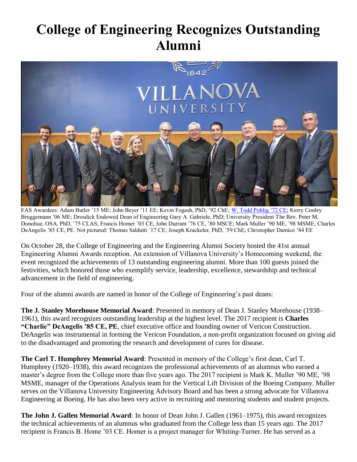## **College of Engineering Recognizes Outstanding Alumni**



EAS Awardees: Adam Butler '15 ME; John Beyer '11 EE; Kevin Fogash, PhD, '92 ChE; [W. Todd Pohlig '72 CE;](https://www1.villanova.edu/villanova/engineering/alumnisociety/awards/recipients/bios2017.html#todd) Kerry Cooley Bruggemann '06 ME; Drosdick Endowed Dean of Engineering Gary A. Gabriele, PhD; University President The Rev. Peter M. Donohue, OSA, PhD, '75 CLAS; Francis Homer '03 CE, John Durrant '76 CE, '80 MSCE; Mark Muller '90 ME, '98 MSME; Charles DeAngelis '85 CE, PE. Not pictured: Thomas Saldutti '17 CE; Joseph Krackeler, PhD, '59 ChE; Christopher Damico '84 EE

On October 28, the College of Engineering and the Engineering Alumni Society hosted the 41st annual Engineering Alumni Awards reception. An extension of Villanova University's Homecoming weekend, the event recognized the achievements of 13 outstanding engineering alumni. More than 100 guests joined the festivities, which honored those who exemplify service, leadership, excellence, stewardship and technical advancement in the field of engineering.

Four of the alumni awards are named in honor of the College of Engineering's past deans:

**The J. Stanley Morehouse Memorial Award**: Presented in memory of Dean J. Stanley Morehouse (1938– 1961), this award recognizes outstanding leadership at the highest level. The 2017 recipient is **Charles "Charlie" DeAngelis '85 CE, PE**, chief executive office and founding owner of Vericon Construction. DeAngelis was instrumental in forming the Vericon Foundation, a non-profit organization focused on giving aid to the disadvantaged and promoting the research and development of cures for disease.

**The Carl T. Humphrey Memorial Award**: Presented in memory of the College's first dean, Carl T. Humphrey (1920–1938), this award recognizes the professional achievements of an alumnus who earned a master's degree from the College more than five years ago. The 2017 recipient is Mark K. Muller '90 ME, '98 MSME, manager of the Operations Analysis team for the Vertical Lift Division of the Boeing Company. Muller serves on the Villanova University Engineering Advisory Board and has been a strong advocate for Villanova Engineering at Boeing. He has also been very active in recruiting and mentoring students and student projects.

**The John J. Gallen Memorial Award**: In honor of Dean John J. Gallen (1961–1975), this award recognizes the technical achievements of an alumnus who graduated from the College less than 15 years ago. The 2017 recipient is Francis B. Home '03 CE. Homer is a project manager for Whiting-Turner. He has served as a